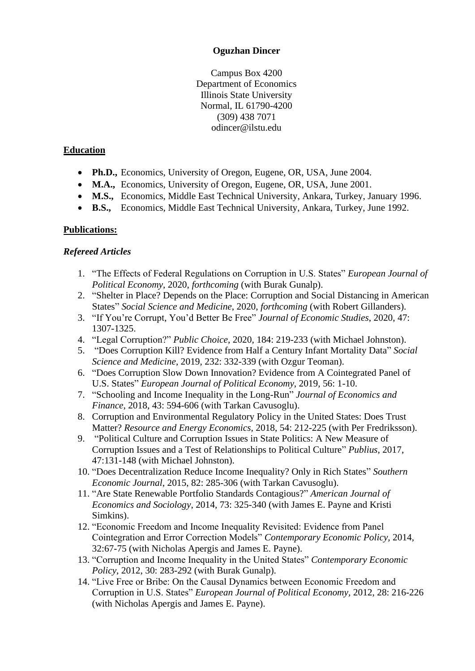#### **Oguzhan Dincer**

Campus Box 4200 Department of Economics Illinois State University Normal, IL 61790-4200 (309) 438 7071 odincer@ilstu.edu

#### **Education**

- **Ph.D.,** Economics, University of Oregon, Eugene, OR, USA, June 2004.
- **M.A.,** Economics, University of Oregon, Eugene, OR, USA, June 2001.
- **M.S.,** Economics, Middle East Technical University, Ankara, Turkey, January 1996.
- **B.S.,** Economics, Middle East Technical University, Ankara, Turkey, June 1992.

### **Publications:**

#### *Refereed Articles*

- 1. "The Effects of Federal Regulations on Corruption in U.S. States" *European Journal of Political Economy*, 2020, *forthcoming* (with Burak Gunalp).
- 2. "Shelter in Place? Depends on the Place: Corruption and Social Distancing in American States" *Social Science and Medicine*, 2020, *forthcoming* (with Robert Gillanders).
- 3. "If You're Corrupt, You'd Better Be Free" *Journal of Economic Studies*, 2020, 47: 1307-1325.
- 4. "Legal Corruption?" *Public Choice*, 2020, 184: 219-233 (with Michael Johnston).
- 5. "Does Corruption Kill? Evidence from Half a Century Infant Mortality Data" *Social Science and Medicine*, 2019, 232: 332-339 (with Ozgur Teoman).
- 6. "Does Corruption Slow Down Innovation? Evidence from A Cointegrated Panel of U.S. States" *European Journal of Political Economy*, 2019, 56: 1-10.
- 7. "Schooling and Income Inequality in the Long-Run" *Journal of Economics and Finance*, 2018, 43: 594-606 (with Tarkan Cavusoglu).
- 8. Corruption and Environmental Regulatory Policy in the United States: Does Trust Matter? *Resource and Energy Economics*, 2018, 54: 212-225 (with Per Fredriksson).
- 9. "Political Culture and Corruption Issues in State Politics: A New Measure of Corruption Issues and a Test of Relationships to Political Culture" *Publius*, 2017, 47:131-148 (with Michael Johnston).
- 10. "Does Decentralization Reduce Income Inequality? Only in Rich States" *Southern Economic Journal*, 2015, 82: 285-306 (with Tarkan Cavusoglu).
- 11. "Are State Renewable Portfolio Standards Contagious?" *American Journal of Economics and Sociology*, 2014, 73: 325-340 (with James E. Payne and Kristi Simkins).
- 12. "Economic Freedom and Income Inequality Revisited: Evidence from Panel Cointegration and Error Correction Models" *Contemporary Economic Policy,* 2014, 32:67-75 (with Nicholas Apergis and James E. Payne).
- 13. "Corruption and Income Inequality in the United States" *Contemporary Economic Policy*, 2012, 30: 283-292 (with Burak Gunalp).
- 14. "Live Free or Bribe: On the Causal Dynamics between Economic Freedom and Corruption in U.S. States" *European Journal of Political Economy,* 2012, 28: 216-226 (with Nicholas Apergis and James E. Payne).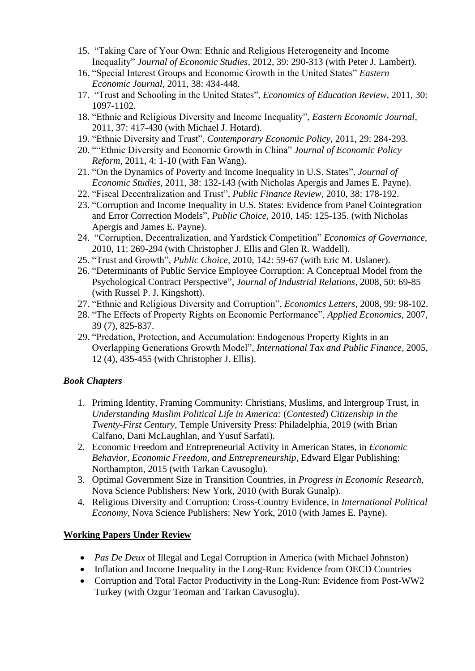- 15. "Taking Care of Your Own: Ethnic and Religious Heterogeneity and Income Inequality" *Journal of Economic Studies,* 2012, 39: 290-313 (with Peter J. Lambert).
- 16. "Special Interest Groups and Economic Growth in the United States" *Eastern Economic Journal*, 2011, 38: 434-448*.*
- 17. "Trust and Schooling in the United States", *Economics of Education Review,* 2011, 30: 1097-1102*.*
- 18. "Ethnic and Religious Diversity and Income Inequality", *Eastern Economic Journal*, 2011, 37: 417-430 (with Michael J. Hotard).
- 19. "Ethnic Diversity and Trust", *Contemporary Economic Policy*, 2011, 29: 284-293.
- 20. ""Ethnic Diversity and Economic Growth in China" *Journal of Economic Policy Reform*, 2011, 4: 1-10 (with Fan Wang).
- 21. "On the Dynamics of Poverty and Income Inequality in U.S. States", *Journal of Economic Studies,* 2011, 38: 132-143 (with Nicholas Apergis and James E. Payne).
- 22. "Fiscal Decentralization and Trust", *Public Finance Review*, 2010, 38: 178-192.
- 23. "Corruption and Income Inequality in U.S. States: Evidence from Panel Cointegration and Error Correction Models", *Public Choice,* 2010, 145: 125-135. (with Nicholas Apergis and James E. Payne).
- 24. "Corruption, Decentralization, and Yardstick Competition" *Economics of Governance,*  2010, 11: 269-294 (with Christopher J. Ellis and Glen R. Waddell).
- 25. "Trust and Growth", *Public Choice*, 2010, 142: 59-67 (with Eric M. Uslaner).
- 26. "Determinants of Public Service Employee Corruption: A Conceptual Model from the Psychological Contract Perspective", *Journal of Industrial Relations*, 2008, 50: 69-85 (with Russel P. J. Kingshott).
- 27. "Ethnic and Religious Diversity and Corruption", *Economics Letters*, 2008, 99: 98-102.
- 28. "The Effects of Property Rights on Economic Performance", *Applied Economics*, 2007, 39 (7), 825-837.
- 29. "Predation, Protection, and Accumulation: Endogenous Property Rights in an Overlapping Generations Growth Model", *International Tax and Public Finance*, 2005, 12 (4), 435-455 (with Christopher J. Ellis).

### *Book Chapters*

- 1. Priming Identity, Framing Community: Christians, Muslims, and Intergroup Trust, in *Understanding Muslim Political Life in America:* (*Contested*) *Citizenship in the Twenty-First Century*, Temple University Press: Philadelphia, 2019 (with Brian Calfano, Dani McLaughlan, and Yusuf Sarfati).
- 2. Economic Freedom and Entrepreneurial Activity in American States, in *Economic Behavior, Economic Freedom, and Entrepreneurship*, Edward Elgar Publishing: Northampton, 2015 (with Tarkan Cavusoglu).
- 3. Optimal Government Size in Transition Countries, in *Progress in Economic Research*, Nova Science Publishers: New York, 2010 (with Burak Gunalp).
- 4. Religious Diversity and Corruption: Cross-Country Evidence, in *International Political Economy*, Nova Science Publishers: New York, 2010 (with James E. Payne).

### **Working Papers Under Review**

- *Pas De Deux* of Illegal and Legal Corruption in America (with Michael Johnston)
- Inflation and Income Inequality in the Long-Run: Evidence from OECD Countries
- Corruption and Total Factor Productivity in the Long-Run: Evidence from Post-WW2 Turkey (with Ozgur Teoman and Tarkan Cavusoglu).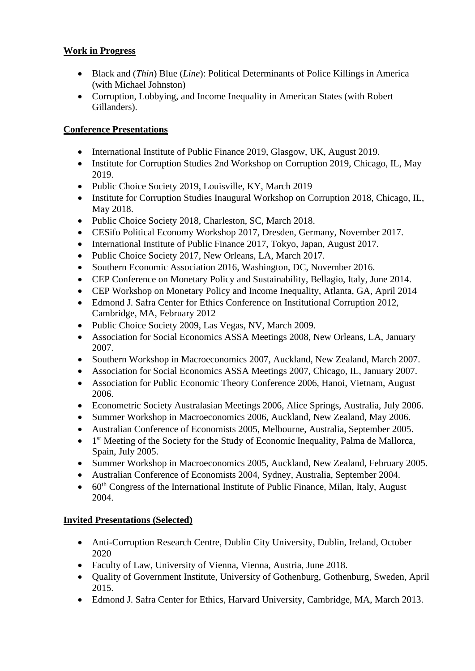### **Work in Progress**

- Black and (*Thin*) Blue (*Line*): Political Determinants of Police Killings in America (with Michael Johnston)
- Corruption, Lobbying, and Income Inequality in American States (with Robert Gillanders).

# **Conference Presentations**

- International Institute of Public Finance 2019, Glasgow, UK, August 2019.
- Institute for Corruption Studies 2nd Workshop on Corruption 2019, Chicago, IL, May 2019.
- Public Choice Society 2019, Louisville, KY, March 2019
- Institute for Corruption Studies Inaugural Workshop on Corruption 2018, Chicago, IL, May 2018.
- Public Choice Society 2018, Charleston, SC, March 2018.
- CESifo Political Economy Workshop 2017, Dresden, Germany, November 2017.
- International Institute of Public Finance 2017, Tokyo, Japan, August 2017.
- Public Choice Society 2017, New Orleans, LA, March 2017.
- Southern Economic Association 2016, Washington, DC, November 2016.
- CEP Conference on Monetary Policy and Sustainability, Bellagio, Italy, June 2014.
- CEP Workshop on Monetary Policy and Income Inequality, Atlanta, GA, April 2014
- Edmond J. Safra Center for Ethics Conference on Institutional Corruption 2012, Cambridge, MA, February 2012
- Public Choice Society 2009, Las Vegas, NV, March 2009.
- Association for Social Economics ASSA Meetings 2008, New Orleans, LA, January 2007.
- Southern Workshop in Macroeconomics 2007, Auckland, New Zealand, March 2007.
- Association for Social Economics ASSA Meetings 2007, Chicago, IL, January 2007.
- Association for Public Economic Theory Conference 2006, Hanoi, Vietnam, August 2006.
- Econometric Society Australasian Meetings 2006, Alice Springs, Australia, July 2006.
- Summer Workshop in Macroeconomics 2006, Auckland, New Zealand, May 2006.
- Australian Conference of Economists 2005, Melbourne, Australia, September 2005.
- 1<sup>st</sup> Meeting of the Society for the Study of Economic Inequality, Palma de Mallorca, Spain, July 2005.
- Summer Workshop in Macroeconomics 2005, Auckland, New Zealand, February 2005.
- Australian Conference of Economists 2004, Sydney, Australia, September 2004.
- $60<sup>th</sup> Congress of the International Institute of Public Finance, Milan, Italy, August$ 2004.

# **Invited Presentations (Selected)**

- Anti-Corruption Research Centre, Dublin City University, Dublin, Ireland, October 2020
- Faculty of Law, University of Vienna, Vienna, Austria, June 2018.
- Quality of Government Institute, University of Gothenburg, Gothenburg, Sweden, April 2015.
- Edmond J. Safra Center for Ethics, Harvard University, Cambridge, MA, March 2013.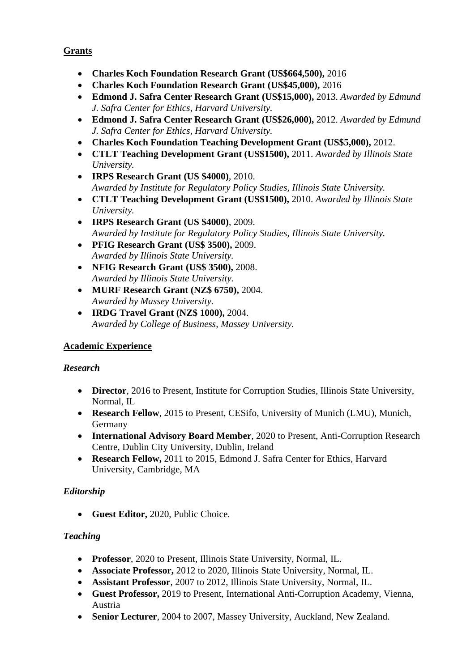# **Grants**

- **Charles Koch Foundation Research Grant (US\$664,500),** 2016
- **Charles Koch Foundation Research Grant (US\$45,000),** 2016
- **Edmond J. Safra Center Research Grant (US\$15,000),** 2013. *Awarded by Edmund J. Safra Center for Ethics, Harvard University.*
- **Edmond J. Safra Center Research Grant (US\$26,000),** 2012. *Awarded by Edmund J. Safra Center for Ethics, Harvard University.*
- **Charles Koch Foundation Teaching Development Grant (US\$5,000),** 2012.
- **CTLT Teaching Development Grant (US\$1500),** 2011. *Awarded by Illinois State University.*
- **IRPS Research Grant (US \$4000)**, 2010. *Awarded by Institute for Regulatory Policy Studies, Illinois State University.*
- **CTLT Teaching Development Grant (US\$1500),** 2010. *Awarded by Illinois State University.*
- **IRPS Research Grant (US \$4000)**, 2009. *Awarded by Institute for Regulatory Policy Studies, Illinois State University.*
- **PFIG Research Grant (US\$ 3500),** 2009. *Awarded by Illinois State University.*
- **NFIG Research Grant (US\$ 3500),** 2008. *Awarded by Illinois State University.*
- **MURF Research Grant (NZ\$ 6750),** 2004. *Awarded by Massey University.*
- **IRDG Travel Grant (NZ\$ 1000),** 2004. *Awarded by College of Business, Massey University.*

### **Academic Experience**

### *Research*

- **Director**, 2016 to Present, Institute for Corruption Studies, Illinois State University, Normal, IL
- **Research Fellow**, 2015 to Present, CESifo, University of Munich (LMU), Munich, Germany
- **International Advisory Board Member**, 2020 to Present, Anti-Corruption Research Centre, Dublin City University, Dublin, Ireland
- **Research Fellow,** 2011 to 2015, Edmond J. Safra Center for Ethics, Harvard University, Cambridge, MA

# *Editorship*

• **Guest Editor,** 2020, Public Choice.

# *Teaching*

- **Professor**, 2020 to Present, Illinois State University, Normal, IL.
- **Associate Professor,** 2012 to 2020, Illinois State University, Normal, IL.
- **Assistant Professor**, 2007 to 2012, Illinois State University, Normal, IL.
- **Guest Professor,** 2019 to Present, International Anti-Corruption Academy, Vienna, Austria
- **Senior Lecturer**, 2004 to 2007, Massey University, Auckland, New Zealand.